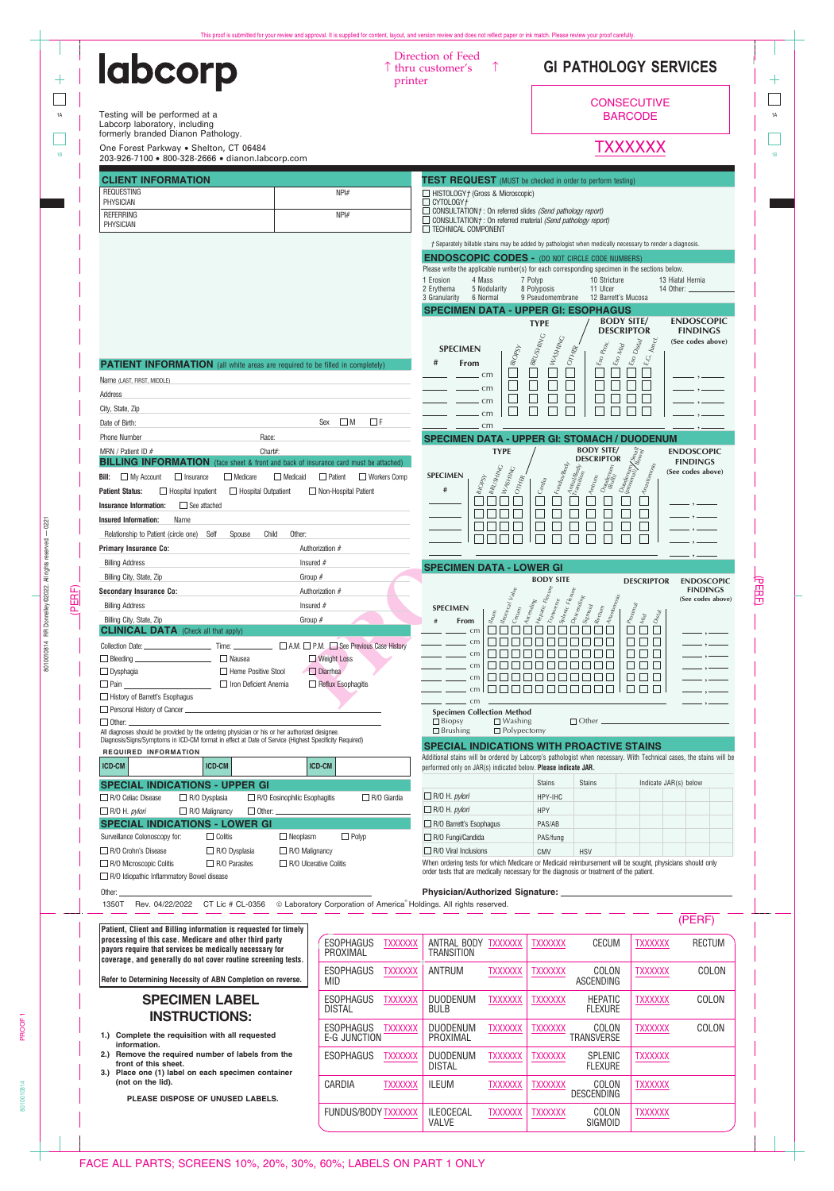| <b>labcorp</b>                                                                                                                                                                                                                                                                                                                                                                                                                                                                                                                                                                                                                                                                                                                                                                                 |                                                    | Direction of Feed<br>$\uparrow$ thru customer's<br>printer                                                                                                                                                                                                                                                                                                                                                                                                                                          |                                                                                                                                                                                                                                                                                                                                           | <b>GI PATHOLOGY SERVICES</b>                                                                                                                                                                            |                                                                                                                                                                                                                                                                                 |                                                              |
|------------------------------------------------------------------------------------------------------------------------------------------------------------------------------------------------------------------------------------------------------------------------------------------------------------------------------------------------------------------------------------------------------------------------------------------------------------------------------------------------------------------------------------------------------------------------------------------------------------------------------------------------------------------------------------------------------------------------------------------------------------------------------------------------|----------------------------------------------------|-----------------------------------------------------------------------------------------------------------------------------------------------------------------------------------------------------------------------------------------------------------------------------------------------------------------------------------------------------------------------------------------------------------------------------------------------------------------------------------------------------|-------------------------------------------------------------------------------------------------------------------------------------------------------------------------------------------------------------------------------------------------------------------------------------------------------------------------------------------|---------------------------------------------------------------------------------------------------------------------------------------------------------------------------------------------------------|---------------------------------------------------------------------------------------------------------------------------------------------------------------------------------------------------------------------------------------------------------------------------------|--------------------------------------------------------------|
| Testing will be performed at a<br>Labcorp laboratory, including                                                                                                                                                                                                                                                                                                                                                                                                                                                                                                                                                                                                                                                                                                                                |                                                    |                                                                                                                                                                                                                                                                                                                                                                                                                                                                                                     |                                                                                                                                                                                                                                                                                                                                           |                                                                                                                                                                                                         | <b>CONSECUTIVE</b><br><b>BARCODE</b>                                                                                                                                                                                                                                            |                                                              |
| formerly branded Dianon Pathology.<br>One Forest Parkway . Shelton, CT 06484                                                                                                                                                                                                                                                                                                                                                                                                                                                                                                                                                                                                                                                                                                                   |                                                    |                                                                                                                                                                                                                                                                                                                                                                                                                                                                                                     |                                                                                                                                                                                                                                                                                                                                           |                                                                                                                                                                                                         | TXXXXXX                                                                                                                                                                                                                                                                         |                                                              |
| 203-926-7100 · 800-328-2666 · dianon.labcorp.com                                                                                                                                                                                                                                                                                                                                                                                                                                                                                                                                                                                                                                                                                                                                               |                                                    |                                                                                                                                                                                                                                                                                                                                                                                                                                                                                                     |                                                                                                                                                                                                                                                                                                                                           |                                                                                                                                                                                                         |                                                                                                                                                                                                                                                                                 |                                                              |
| <b>CLIENT INFORMATION</b><br><b>REQUESTING</b>                                                                                                                                                                                                                                                                                                                                                                                                                                                                                                                                                                                                                                                                                                                                                 | NPH#                                               | <b>TEST REQUEST</b> (MUST be checked in order to perform testing)<br>$\Box$ HISTOLOGY $\dag$ (Gross & Microscopic)                                                                                                                                                                                                                                                                                                                                                                                  |                                                                                                                                                                                                                                                                                                                                           |                                                                                                                                                                                                         |                                                                                                                                                                                                                                                                                 |                                                              |
| PHYSICIAN<br><b>REFERRING</b>                                                                                                                                                                                                                                                                                                                                                                                                                                                                                                                                                                                                                                                                                                                                                                  | NPH#                                               | $\Box$ CYTOLOGY $\dag$<br>$\Box$ CONSULTATION $t$ : On referred slides (Send pathology report)                                                                                                                                                                                                                                                                                                                                                                                                      |                                                                                                                                                                                                                                                                                                                                           |                                                                                                                                                                                                         |                                                                                                                                                                                                                                                                                 |                                                              |
| <b>PHYSICIAN</b>                                                                                                                                                                                                                                                                                                                                                                                                                                                                                                                                                                                                                                                                                                                                                                               |                                                    | $\Box$ CONSULTATION $t$ : On referred material (Send pathology report)<br>TECHNICAL COMPONENT                                                                                                                                                                                                                                                                                                                                                                                                       |                                                                                                                                                                                                                                                                                                                                           |                                                                                                                                                                                                         |                                                                                                                                                                                                                                                                                 |                                                              |
|                                                                                                                                                                                                                                                                                                                                                                                                                                                                                                                                                                                                                                                                                                                                                                                                |                                                    | <b>ENDOSCOPIC CODES - (DO NOT CIRCLE CODE NUMBERS)</b>                                                                                                                                                                                                                                                                                                                                                                                                                                              |                                                                                                                                                                                                                                                                                                                                           | <i>†</i> Separately billable stains may be added by pathologist when medically necessary to render a diagnosis.                                                                                         |                                                                                                                                                                                                                                                                                 |                                                              |
|                                                                                                                                                                                                                                                                                                                                                                                                                                                                                                                                                                                                                                                                                                                                                                                                |                                                    | Please write the applicable number(s) for each corresponding specimen in the sections below.<br>1 Erosion<br>4 Mass                                                                                                                                                                                                                                                                                                                                                                                 | 7 Polyp                                                                                                                                                                                                                                                                                                                                   | 10 Stricture                                                                                                                                                                                            |                                                                                                                                                                                                                                                                                 | 13 Hiatal Hernia                                             |
|                                                                                                                                                                                                                                                                                                                                                                                                                                                                                                                                                                                                                                                                                                                                                                                                |                                                    | 5 Nodularity<br>2 Erythema<br>3 Granularity<br>6 Normal                                                                                                                                                                                                                                                                                                                                                                                                                                             | 8 Polyposis                                                                                                                                                                                                                                                                                                                               | 11 Ulcer<br>9 Pseudomembrane 12 Barrett's Mucosa                                                                                                                                                        | 14 Other: ___                                                                                                                                                                                                                                                                   |                                                              |
|                                                                                                                                                                                                                                                                                                                                                                                                                                                                                                                                                                                                                                                                                                                                                                                                |                                                    | <b>SPECIMEN DATA - UPPER GI: ESOPHAGUS</b>                                                                                                                                                                                                                                                                                                                                                                                                                                                          | <b>TYPE</b>                                                                                                                                                                                                                                                                                                                               | <b>BODY SITE/</b><br><b>DESCRIPTOR</b>                                                                                                                                                                  |                                                                                                                                                                                                                                                                                 | <b>ENDOSCOPIC</b><br><b>FINDINGS</b>                         |
|                                                                                                                                                                                                                                                                                                                                                                                                                                                                                                                                                                                                                                                                                                                                                                                                |                                                    | <b>SPECIMEN</b>                                                                                                                                                                                                                                                                                                                                                                                                                                                                                     | $\Box$ BRUSHING                                                                                                                                                                                                                                                                                                                           | <b>WASHING</b><br>Prox.<br>$\epsilon_{so}$ $_{Miq}$                                                                                                                                                     | Jun <sub>Ct</sub> .<br>$\begin{aligned} \int \xi_{SO}\, D_{\mathit{l}S}\xi_{\mathit{d}} \end{aligned}$                                                                                                                                                                          | (See codes above)                                            |
| <b>PATIENT INFORMATION</b> (all white areas are required to be filled in completely)                                                                                                                                                                                                                                                                                                                                                                                                                                                                                                                                                                                                                                                                                                           |                                                    | #<br><b>From</b><br>- cm                                                                                                                                                                                                                                                                                                                                                                                                                                                                            | $\vert_{\textit{BIOPS}_{\mathcal{V}}}$                                                                                                                                                                                                                                                                                                    | OTHER<br>$\xi_{SO}$<br>Г                                                                                                                                                                                | $\mathcal{E}.G$                                                                                                                                                                                                                                                                 |                                                              |
| Name (LAST, FIRST, MIDDLE)<br>Address                                                                                                                                                                                                                                                                                                                                                                                                                                                                                                                                                                                                                                                                                                                                                          |                                                    | $- cm$                                                                                                                                                                                                                                                                                                                                                                                                                                                                                              |                                                                                                                                                                                                                                                                                                                                           |                                                                                                                                                                                                         |                                                                                                                                                                                                                                                                                 |                                                              |
| City, State, Zip                                                                                                                                                                                                                                                                                                                                                                                                                                                                                                                                                                                                                                                                                                                                                                               |                                                    | cm                                                                                                                                                                                                                                                                                                                                                                                                                                                                                                  |                                                                                                                                                                                                                                                                                                                                           |                                                                                                                                                                                                         |                                                                                                                                                                                                                                                                                 |                                                              |
| Date of Birth:                                                                                                                                                                                                                                                                                                                                                                                                                                                                                                                                                                                                                                                                                                                                                                                 | $Sex \square M$<br>$\Box$ F                        | cm<br>cm                                                                                                                                                                                                                                                                                                                                                                                                                                                                                            |                                                                                                                                                                                                                                                                                                                                           |                                                                                                                                                                                                         |                                                                                                                                                                                                                                                                                 |                                                              |
| <b>Phone Number</b><br>Race:                                                                                                                                                                                                                                                                                                                                                                                                                                                                                                                                                                                                                                                                                                                                                                   |                                                    | <b>SPECIMEN DATA - UPPER GI: STOMACH / DUODENUM</b>                                                                                                                                                                                                                                                                                                                                                                                                                                                 |                                                                                                                                                                                                                                                                                                                                           |                                                                                                                                                                                                         |                                                                                                                                                                                                                                                                                 |                                                              |
| Chart#:<br>MRN / Patient ID $#$                                                                                                                                                                                                                                                                                                                                                                                                                                                                                                                                                                                                                                                                                                                                                                |                                                    |                                                                                                                                                                                                                                                                                                                                                                                                                                                                                                     | <b>TYPE</b>                                                                                                                                                                                                                                                                                                                               | <b>BODY SITE/</b><br><b>DESCRIPTOR</b>                                                                                                                                                                  |                                                                                                                                                                                                                                                                                 | <b>ENDOSCOPIC</b>                                            |
| <b>BILLING INFORMATION</b> (face sheet & front and back of insurance card must be attached)<br>$\Box$ Medicaid                                                                                                                                                                                                                                                                                                                                                                                                                                                                                                                                                                                                                                                                                 | $\Box$ Patient                                     | <b>SPECIMEN</b>                                                                                                                                                                                                                                                                                                                                                                                                                                                                                     |                                                                                                                                                                                                                                                                                                                                           |                                                                                                                                                                                                         |                                                                                                                                                                                                                                                                                 | <b>FINDINGS</b><br>(See codes above)                         |
| <b>Bill:</b> $\Box$ My Account<br>$\Box$ Insurance<br>$\Box$ Medicare<br>Hospital Outpatient<br><b>Patient Status:</b><br>$\Box$ Hospital Inpatient                                                                                                                                                                                                                                                                                                                                                                                                                                                                                                                                                                                                                                            | $\Box$ Workers Comp<br>$\Box$ Non-Hospital Patient | <b>BRUSHING</b><br>$\mathcal{B}^{\mathcal{A}}$<br>#                                                                                                                                                                                                                                                                                                                                                                                                                                                 | WASHING<br>OTHER.<br>$C_{\hat{q}\eta_{\hat{q}\hat{q}}}$                                                                                                                                                                                                                                                                                   | Fundus/Body<br>$\int_{\tau_{an_{\mathit{sing}}}^{\tau_{th_{\mathit{eq}}}} \rho_{\mathit{eq}}}^{\tau_{th_{\mathit{eq}}}}$<br>$D_{UOQ\acute{e}\eta_{U\eta\eta}}^{UOQ\acute{e}\eta_{U\eta\eta}}$<br>Antrum | $\left. \begin{array}{l} \Delta\omega_0 d\epsilon_{m \nu\eta\eta\lambda} \ \partial\omega_0 \omega_{m\eta\eta} \end{array} \right  \left. \begin{array}{l} \Delta\omega_0 \ \Delta\omega_{m\eta\eta} \end{array} \right $<br>$[ {\cal A}_{N\bar{c}S\acute{c}om}_{OS\acute{c}S}$ |                                                              |
| $\Box$ See attached<br><b>Insurance Information:</b>                                                                                                                                                                                                                                                                                                                                                                                                                                                                                                                                                                                                                                                                                                                                           |                                                    |                                                                                                                                                                                                                                                                                                                                                                                                                                                                                                     |                                                                                                                                                                                                                                                                                                                                           |                                                                                                                                                                                                         |                                                                                                                                                                                                                                                                                 |                                                              |
| Name<br>Insured Information:                                                                                                                                                                                                                                                                                                                                                                                                                                                                                                                                                                                                                                                                                                                                                                   |                                                    | FIFIFI.                                                                                                                                                                                                                                                                                                                                                                                                                                                                                             |                                                                                                                                                                                                                                                                                                                                           |                                                                                                                                                                                                         |                                                                                                                                                                                                                                                                                 |                                                              |
| Relationship to Patient (circle one) Self Spouse Child Other:                                                                                                                                                                                                                                                                                                                                                                                                                                                                                                                                                                                                                                                                                                                                  |                                                    |                                                                                                                                                                                                                                                                                                                                                                                                                                                                                                     | $\Box$                                                                                                                                                                                                                                                                                                                                    |                                                                                                                                                                                                         |                                                                                                                                                                                                                                                                                 |                                                              |
| <b>Primary Insurance Co:</b>                                                                                                                                                                                                                                                                                                                                                                                                                                                                                                                                                                                                                                                                                                                                                                   | Authorization #                                    |                                                                                                                                                                                                                                                                                                                                                                                                                                                                                                     |                                                                                                                                                                                                                                                                                                                                           |                                                                                                                                                                                                         |                                                                                                                                                                                                                                                                                 |                                                              |
| Insured $#$<br><b>Billing Address</b>                                                                                                                                                                                                                                                                                                                                                                                                                                                                                                                                                                                                                                                                                                                                                          |                                                    |                                                                                                                                                                                                                                                                                                                                                                                                                                                                                                     |                                                                                                                                                                                                                                                                                                                                           |                                                                                                                                                                                                         |                                                                                                                                                                                                                                                                                 |                                                              |
|                                                                                                                                                                                                                                                                                                                                                                                                                                                                                                                                                                                                                                                                                                                                                                                                |                                                    | <b>SPECIMEN DATA - LOWER GI</b>                                                                                                                                                                                                                                                                                                                                                                                                                                                                     |                                                                                                                                                                                                                                                                                                                                           |                                                                                                                                                                                                         |                                                                                                                                                                                                                                                                                 |                                                              |
| Group #                                                                                                                                                                                                                                                                                                                                                                                                                                                                                                                                                                                                                                                                                                                                                                                        |                                                    |                                                                                                                                                                                                                                                                                                                                                                                                                                                                                                     | <b>BODY SITE</b>                                                                                                                                                                                                                                                                                                                          |                                                                                                                                                                                                         | <b>DESCRIPTOR</b>                                                                                                                                                                                                                                                               | <b>ENDOSCOPIC</b>                                            |
|                                                                                                                                                                                                                                                                                                                                                                                                                                                                                                                                                                                                                                                                                                                                                                                                | Authorization #                                    |                                                                                                                                                                                                                                                                                                                                                                                                                                                                                                     |                                                                                                                                                                                                                                                                                                                                           |                                                                                                                                                                                                         |                                                                                                                                                                                                                                                                                 | <b>FINDINGS</b><br>(See codes above)                         |
| Insured $#$<br>Group #<br>Billing City, State, Zip                                                                                                                                                                                                                                                                                                                                                                                                                                                                                                                                                                                                                                                                                                                                             |                                                    | <b>SPECIMEN</b><br>#<br>From                                                                                                                                                                                                                                                                                                                                                                                                                                                                        |                                                                                                                                                                                                                                                                                                                                           |                                                                                                                                                                                                         |                                                                                                                                                                                                                                                                                 |                                                              |
|                                                                                                                                                                                                                                                                                                                                                                                                                                                                                                                                                                                                                                                                                                                                                                                                |                                                    | $n_{\text{F}}$<br>$\overline{\phantom{a}}$ cm                                                                                                                                                                                                                                                                                                                                                                                                                                                       | Meocecal Valle<br>$\frac{1}{1}A_{\mathcal{S}\mathcal{C}\mathcal{e}\eta_{\mathcal{G}}i_{\mathcal{H}_{\mathcal{S}}}}{1}A_{\mathcal{C}\mathcal{B}\mathcal{A}\mathcal{U}\mathcal{C}}\mathcal{F}_{\mathcal{E}\mathcal{E}_{\mathcal{X}_{\mathcal{C}}}}$<br>$\label{eq:transformation} \mid \textit{Trans} \textit{ve}_{\textit{PSSe}}$<br>Cecum | Splenic Flexure<br>$10$ escending<br>Anastomos<br>Sigmoid<br>$Re_{Cl_{U_{l\bar{l}\bar{l}}}}$                                                                                                            | $P_{r o_{X \text{inf}}}$<br>Distal<br>Mid<br>$\mathbf{L}$                                                                                                                                                                                                                       |                                                              |
|                                                                                                                                                                                                                                                                                                                                                                                                                                                                                                                                                                                                                                                                                                                                                                                                |                                                    | cm<br>$\overline{\phantom{a}}$ and $\overline{\phantom{a}}$<br>cm                                                                                                                                                                                                                                                                                                                                                                                                                                   |                                                                                                                                                                                                                                                                                                                                           |                                                                                                                                                                                                         | П<br>$\Box$<br>$\Box$                                                                                                                                                                                                                                                           | $-\cdot$ $-$                                                 |
|                                                                                                                                                                                                                                                                                                                                                                                                                                                                                                                                                                                                                                                                                                                                                                                                | Weight Loss                                        | $\frac{1}{\sqrt{1-\frac{1}{2}}}\cos\theta$                                                                                                                                                                                                                                                                                                                                                                                                                                                          |                                                                                                                                                                                                                                                                                                                                           |                                                                                                                                                                                                         | n n n                                                                                                                                                                                                                                                                           | $\frac{1}{\sqrt{1-\frac{1}{2}}}$<br>$\overline{\phantom{a}}$ |
| <b>Billing Address</b><br>Heme Positive Stool                                                                                                                                                                                                                                                                                                                                                                                                                                                                                                                                                                                                                                                                                                                                                  | Diarrhea<br>Reflux Esophagitis                     | $\frac{1}{\sqrt{1-\frac{1}{2}}}\cos\theta$                                                                                                                                                                                                                                                                                                                                                                                                                                                          | 000000000                                                                                                                                                                                                                                                                                                                                 |                                                                                                                                                                                                         | $\Box$<br>$\Box$<br>$\Box$                                                                                                                                                                                                                                                      |                                                              |
|                                                                                                                                                                                                                                                                                                                                                                                                                                                                                                                                                                                                                                                                                                                                                                                                |                                                    | $\frac{1}{2}$ cm<br>$\overline{\phantom{a}}$ $\overline{\phantom{a}}$ $\overline{\phantom{a}}$ $\overline{\phantom{a}}$ $\overline{\phantom{a}}$ $\overline{\phantom{a}}$ $\overline{\phantom{a}}$ $\overline{\phantom{a}}$ $\overline{\phantom{a}}$ $\overline{\phantom{a}}$ $\overline{\phantom{a}}$ $\overline{\phantom{a}}$ $\overline{\phantom{a}}$ $\overline{\phantom{a}}$ $\overline{\phantom{a}}$ $\overline{\phantom{a}}$ $\overline{\phantom{a}}$ $\overline{\phantom{a}}$ $\overline{\$ | <b>REB</b>                                                                                                                                                                                                                                                                                                                                | 88888                                                                                                                                                                                                   | $\Box$                                                                                                                                                                                                                                                                          |                                                              |
|                                                                                                                                                                                                                                                                                                                                                                                                                                                                                                                                                                                                                                                                                                                                                                                                |                                                    | <b>Specimen Collection Method</b>                                                                                                                                                                                                                                                                                                                                                                                                                                                                   |                                                                                                                                                                                                                                                                                                                                           |                                                                                                                                                                                                         |                                                                                                                                                                                                                                                                                 |                                                              |
|                                                                                                                                                                                                                                                                                                                                                                                                                                                                                                                                                                                                                                                                                                                                                                                                |                                                    | $\Box$ Biopsy<br>$\Box$ Brushing                                                                                                                                                                                                                                                                                                                                                                                                                                                                    | $\Box$ Washing<br>$\Box$ Polypectomy                                                                                                                                                                                                                                                                                                      |                                                                                                                                                                                                         |                                                                                                                                                                                                                                                                                 |                                                              |
|                                                                                                                                                                                                                                                                                                                                                                                                                                                                                                                                                                                                                                                                                                                                                                                                |                                                    | <b>SPECIAL INDICATIONS WITH PROACTIVE STAINS</b>                                                                                                                                                                                                                                                                                                                                                                                                                                                    |                                                                                                                                                                                                                                                                                                                                           |                                                                                                                                                                                                         |                                                                                                                                                                                                                                                                                 |                                                              |
| Billing City, State, Zip<br><b>Secondary Insurance Co:</b><br><b>CLINICAL DATA</b> (Check all that apply)<br>$\Box$ Dysphagia<br>□ Pain <u>New York New York New York New York New York New York New York New York New York New York New York New York New York New York New York New York New York New York New York New York New York New York New York New Yo</u><br>$\Box$ History of Barrett's Esophagus<br>personal History of Cancer <b>contract and the Contract of Cancer Contract of Cancer</b><br>$\Box$ Other:<br>All diagnoses should be provided by the ordering physician or his or her authorized designee.<br>Diagnosis/Signs/Symptoms in ICD-CM format in effect at Date of Service (Highest Specificity Required)<br>REQUIRED INFORMATION<br><b>ICD-CM</b><br><b>ICD-CM</b> | <b>ICD-CM</b>                                      | Additional stains will be ordered by Labcorp's pathologist when necessary. With Technical cases, the stains will be<br>performed only on JAR(s) indicated below. Please indicate JAR.                                                                                                                                                                                                                                                                                                               |                                                                                                                                                                                                                                                                                                                                           |                                                                                                                                                                                                         |                                                                                                                                                                                                                                                                                 |                                                              |
|                                                                                                                                                                                                                                                                                                                                                                                                                                                                                                                                                                                                                                                                                                                                                                                                |                                                    |                                                                                                                                                                                                                                                                                                                                                                                                                                                                                                     | <b>Stains</b>                                                                                                                                                                                                                                                                                                                             | <b>Stains</b>                                                                                                                                                                                           | Indicate JAR(s) below                                                                                                                                                                                                                                                           |                                                              |
| $\Box$ R/O Dysplasia<br>$\Box$ R/O Eosinophilic Esophagitis                                                                                                                                                                                                                                                                                                                                                                                                                                                                                                                                                                                                                                                                                                                                    | $\Box$ R/O Giardia                                 | $\Box$ R/O H. pylori                                                                                                                                                                                                                                                                                                                                                                                                                                                                                | HPY-IHC                                                                                                                                                                                                                                                                                                                                   |                                                                                                                                                                                                         |                                                                                                                                                                                                                                                                                 |                                                              |
| $\Box$ R/O Malignancy                                                                                                                                                                                                                                                                                                                                                                                                                                                                                                                                                                                                                                                                                                                                                                          |                                                    | $\Box$ R/O H. pylori                                                                                                                                                                                                                                                                                                                                                                                                                                                                                | <b>HPY</b>                                                                                                                                                                                                                                                                                                                                |                                                                                                                                                                                                         |                                                                                                                                                                                                                                                                                 |                                                              |
| <b>SPECIAL INDICATIONS - UPPER GI</b><br>$\Box$ R/O Celiac Disease<br>$\Box$ R/O H. <i>pylori</i><br><b>SPECIAL INDICATIONS - LOWER GI</b><br>$\Box$ Colitis<br>$\Box$ Neoplasm<br>Surveillance Colonoscopy for:                                                                                                                                                                                                                                                                                                                                                                                                                                                                                                                                                                               | $\Box$ Polyp                                       | $\Box$ R/O Barrett's Esophagus<br>$\Box$ R/O Fungi/Candida                                                                                                                                                                                                                                                                                                                                                                                                                                          | PAS/AB<br>PAS/fung                                                                                                                                                                                                                                                                                                                        |                                                                                                                                                                                                         |                                                                                                                                                                                                                                                                                 |                                                              |
| $\Box$ R/O Crohn's Disease<br>$\Box$ R/O Dysplasia<br>$\Box$ R/O Malignancy                                                                                                                                                                                                                                                                                                                                                                                                                                                                                                                                                                                                                                                                                                                    |                                                    | $\Box$ R/O Viral Inclusions                                                                                                                                                                                                                                                                                                                                                                                                                                                                         | CMV                                                                                                                                                                                                                                                                                                                                       | <b>HSV</b>                                                                                                                                                                                              |                                                                                                                                                                                                                                                                                 |                                                              |
| $\Box$ R/O Parasites<br>$\Box$ R/O Ulcerative Colitis                                                                                                                                                                                                                                                                                                                                                                                                                                                                                                                                                                                                                                                                                                                                          |                                                    | When ordering tests for which Medicare or Medicaid reimbursement will be sought, physicians should only<br>order tests that are medically necessary for the diagnosis or treatment of the patient.                                                                                                                                                                                                                                                                                                  |                                                                                                                                                                                                                                                                                                                                           |                                                                                                                                                                                                         |                                                                                                                                                                                                                                                                                 |                                                              |
|                                                                                                                                                                                                                                                                                                                                                                                                                                                                                                                                                                                                                                                                                                                                                                                                |                                                    |                                                                                                                                                                                                                                                                                                                                                                                                                                                                                                     |                                                                                                                                                                                                                                                                                                                                           |                                                                                                                                                                                                         |                                                                                                                                                                                                                                                                                 |                                                              |
|                                                                                                                                                                                                                                                                                                                                                                                                                                                                                                                                                                                                                                                                                                                                                                                                |                                                    |                                                                                                                                                                                                                                                                                                                                                                                                                                                                                                     |                                                                                                                                                                                                                                                                                                                                           |                                                                                                                                                                                                         |                                                                                                                                                                                                                                                                                 |                                                              |
|                                                                                                                                                                                                                                                                                                                                                                                                                                                                                                                                                                                                                                                                                                                                                                                                |                                                    |                                                                                                                                                                                                                                                                                                                                                                                                                                                                                                     |                                                                                                                                                                                                                                                                                                                                           |                                                                                                                                                                                                         |                                                                                                                                                                                                                                                                                 | (PERF)                                                       |
|                                                                                                                                                                                                                                                                                                                                                                                                                                                                                                                                                                                                                                                                                                                                                                                                | <b>ESOPHAGUS</b><br><b>TXXXXXX</b>                 | ANTRAL BODY TXXXXXX                                                                                                                                                                                                                                                                                                                                                                                                                                                                                 | <b>TXXXXXX</b>                                                                                                                                                                                                                                                                                                                            | <b>CECUM</b>                                                                                                                                                                                            | <b>TXXXXXX</b>                                                                                                                                                                                                                                                                  | <b>RECTUM</b>                                                |
|                                                                                                                                                                                                                                                                                                                                                                                                                                                                                                                                                                                                                                                                                                                                                                                                | PROXIMAL                                           | <b>TRANSITION</b>                                                                                                                                                                                                                                                                                                                                                                                                                                                                                   |                                                                                                                                                                                                                                                                                                                                           |                                                                                                                                                                                                         |                                                                                                                                                                                                                                                                                 |                                                              |
|                                                                                                                                                                                                                                                                                                                                                                                                                                                                                                                                                                                                                                                                                                                                                                                                | ESOPHAGUS<br><b>TXXXXXX</b><br>MID                 | ANTRUM                                                                                                                                                                                                                                                                                                                                                                                                                                                                                              | <b>TXXXXXX</b><br><b>TXXXXXX</b>                                                                                                                                                                                                                                                                                                          | COLON<br><b>ASCENDING</b>                                                                                                                                                                               | <b>TXXXXXX</b>                                                                                                                                                                                                                                                                  | COLON                                                        |
| R/O Microscopic Colitis<br>$\Box$ R/O Idiopathic Inflammatory Bowel disease<br>Other: $-$<br>1350T Rev. 04/22/2022 CT Lic # CL-0356 © Laboratory Corporation of America® Holdings. All rights reserved.<br>Patient, Client and Billing information is requested for timely<br>processing of this case. Medicare and other third party<br>payors require that services be medically necessary for<br>coverage, and generally do not cover routine screening tests.<br>Refer to Determining Necessity of ABN Completion on reverse.<br><b>SPECIMEN LABEL</b>                                                                                                                                                                                                                                     | <b>ESOPHAGUS</b><br><b>TXXXXXX</b>                 | DUODENUM                                                                                                                                                                                                                                                                                                                                                                                                                                                                                            | <b>TXXXXXX</b><br><b>TXXXXXX</b>                                                                                                                                                                                                                                                                                                          | <b>HEPATIC</b>                                                                                                                                                                                          | <b>TXXXXXX</b>                                                                                                                                                                                                                                                                  | COLON                                                        |
| <b>INSTRUCTIONS:</b>                                                                                                                                                                                                                                                                                                                                                                                                                                                                                                                                                                                                                                                                                                                                                                           | <b>DISTAL</b>                                      | <b>BULB</b>                                                                                                                                                                                                                                                                                                                                                                                                                                                                                         |                                                                                                                                                                                                                                                                                                                                           | <b>FLEXURE</b>                                                                                                                                                                                          |                                                                                                                                                                                                                                                                                 |                                                              |
|                                                                                                                                                                                                                                                                                                                                                                                                                                                                                                                                                                                                                                                                                                                                                                                                | <b>ESOPHAGUS</b><br><b>TXXXXXX</b><br>E-G JUNCTION | <b>DUODENUM</b><br>PROXIMAL                                                                                                                                                                                                                                                                                                                                                                                                                                                                         | <b>TXXXXXX</b><br><b>TXXXXXX</b>                                                                                                                                                                                                                                                                                                          | COLON<br>TRANSVERSE                                                                                                                                                                                     | <b>TXXXXXX</b>                                                                                                                                                                                                                                                                  | COLON                                                        |
| information.<br>front of this sheet.                                                                                                                                                                                                                                                                                                                                                                                                                                                                                                                                                                                                                                                                                                                                                           | <b>ESOPHAGUS</b><br><b>TXXXXXX</b>                 | <b>DUODENUM</b>                                                                                                                                                                                                                                                                                                                                                                                                                                                                                     | <b>TXXXXXX</b><br><b>TXXXXXX</b>                                                                                                                                                                                                                                                                                                          | SPLENIC                                                                                                                                                                                                 | <b>TXXXXXX</b>                                                                                                                                                                                                                                                                  |                                                              |
| (not on the lid).                                                                                                                                                                                                                                                                                                                                                                                                                                                                                                                                                                                                                                                                                                                                                                              | CARDIA<br><b>TXXXXXX</b>                           | <b>DISTAL</b><br><b>ILEUM</b>                                                                                                                                                                                                                                                                                                                                                                                                                                                                       | <b>TXXXXXX</b><br><b>TXXXXXX</b>                                                                                                                                                                                                                                                                                                          | <b>FLEXURE</b><br>COLON                                                                                                                                                                                 | <b>TXXXXXX</b>                                                                                                                                                                                                                                                                  |                                                              |
| 1.) Complete the requisition with all requested<br>2.) Remove the required number of labels from the<br>3.) Place one (1) label on each specimen container<br>PLEASE DISPOSE OF UNUSED LABELS.                                                                                                                                                                                                                                                                                                                                                                                                                                                                                                                                                                                                 | FUNDUS/BODY TXXXXXX                                | <b>ILEOCECAL</b>                                                                                                                                                                                                                                                                                                                                                                                                                                                                                    | <b>TXXXXXX</b><br><b>TXXXXXX</b>                                                                                                                                                                                                                                                                                                          | <b>DESCENDING</b><br>COLON                                                                                                                                                                              | <b>TXXXXXX</b>                                                                                                                                                                                                                                                                  |                                                              |

8010010814

PROOF<sub>1</sub>